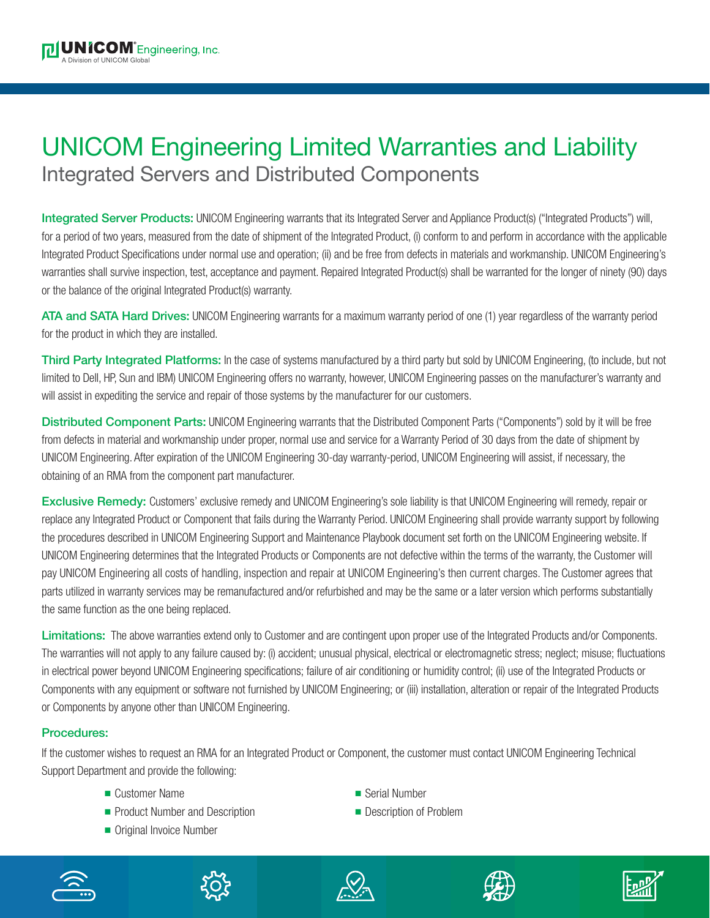## UNICOM Engineering Limited Warranties and Liability Integrated Servers and Distributed Components

**Integrated Server Products:** UNICOM Engineering warrants that its Integrated Server and Appliance Product(s) ("Integrated Products") will, for a period of two years, measured from the date of shipment of the Integrated Product, (i) conform to and perform in accordance with the applicable Integrated Product Specifications under normal use and operation; (ii) and be free from defects in materials and workmanship. UNICOM Engineering's warranties shall survive inspection, test, acceptance and payment. Repaired Integrated Product(s) shall be warranted for the longer of ninety (90) days or the balance of the original Integrated Product(s) warranty.

**ATA and SATA Hard Drives:** UNICOM Engineering warrants for a maximum warranty period of one (1) year regardless of the warranty period for the product in which they are installed.

**Third Party Integrated Platforms:** In the case of systems manufactured by a third party but sold by UNICOM Engineering, (to include, but not limited to Dell, HP, Sun and IBM) UNICOM Engineering offers no warranty, however, UNICOM Engineering passes on the manufacturer's warranty and will assist in expediting the service and repair of those systems by the manufacturer for our customers.

**Distributed Component Parts:** UNICOM Engineering warrants that the Distributed Component Parts ("Components") sold by it will be free from defects in material and workmanship under proper, normal use and service for a Warranty Period of 30 days from the date of shipment by UNICOM Engineering. After expiration of the UNICOM Engineering 30-day warranty-period, UNICOM Engineering will assist, if necessary, the obtaining of an RMA from the component part manufacturer.

**Exclusive Remedy:** Customers' exclusive remedy and UNICOM Engineering's sole liability is that UNICOM Engineering will remedy, repair or replace any Integrated Product or Component that fails during the Warranty Period. UNICOM Engineering shall provide warranty support by following the procedures described in UNICOM Engineering Support and Maintenance Playbook document set forth on the UNICOM Engineering website. If UNICOM Engineering determines that the Integrated Products or Components are not defective within the terms of the warranty, the Customer will pay UNICOM Engineering all costs of handling, inspection and repair at UNICOM Engineering's then current charges. The Customer agrees that parts utilized in warranty services may be remanufactured and/or refurbished and may be the same or a later version which performs substantially the same function as the one being replaced.

**Limitations:** The above warranties extend only to Customer and are contingent upon proper use of the Integrated Products and/or Components. The warranties will not apply to any failure caused by: (i) accident; unusual physical, electrical or electromagnetic stress; neglect; misuse; fluctuations in electrical power beyond UNICOM Engineering specifications; failure of air conditioning or humidity control; (ii) use of the Integrated Products or Components with any equipment or software not furnished by UNICOM Engineering; or (iii) installation, alteration or repair of the Integrated Products or Components by anyone other than UNICOM Engineering.

## **Procedures:**

If the customer wishes to request an RMA for an Integrated Product or Component, the customer must contact UNICOM Engineering Technical Support Department and provide the following:

- n Customer Name n Serial Number
- Product Number and Description n Description Description of Problem
- Original Invoice Number
- 
-